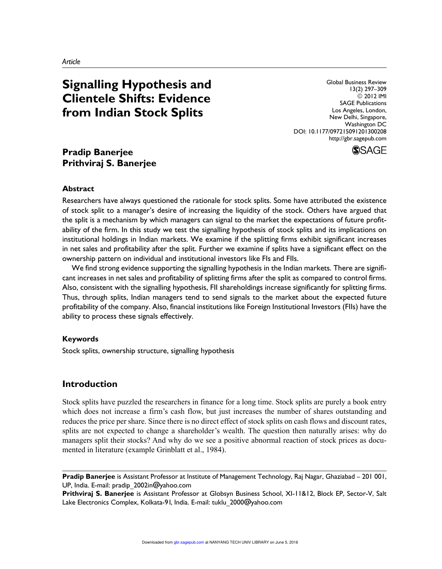# **Signalling Hypothesis and Clientele Shifts: Evidence from Indian Stock Splits**

Global Business Review 13(2) 297–309 © 2012 IMI SAGE Publications Los Angeles, London, New Delhi, Singapore, Washington DC DOI: 10.1177/097215091201300208 http://gbr.sagepub.com



# **Pradip Banerjee Prithviraj S. Banerjee**

# **Abstract**

Researchers have always questioned the rationale for stock splits. Some have attributed the existence of stock split to a manager's desire of increasing the liquidity of the stock. Others have argued that the split is a mechanism by which managers can signal to the market the expectations of future profitability of the firm. In this study we test the signalling hypothesis of stock splits and its implications on institutional holdings in Indian markets. We examine if the splitting firms exhibit significant increases in net sales and profitability after the split. Further we examine if splits have a significant effect on the ownership pattern on individual and institutional investors like FIs and FIIs.

We find strong evidence supporting the signalling hypothesis in the Indian markets. There are significant increases in net sales and profitability of splitting firms after the split as compared to control firms. Also, consistent with the signalling hypothesis, FII shareholdings increase significantly for splitting firms. Thus, through splits, Indian managers tend to send signals to the market about the expected future profitability of the company. Also, financial institutions like Foreign Institutional Investors (FIIs) have the ability to process these signals effectively.

# **Keywords**

Stock splits, ownership structure, signalling hypothesis

# **Introduction**

Stock splits have puzzled the researchers in finance for a long time. Stock splits are purely a book entry which does not increase a firm's cash flow, but just increases the number of shares outstanding and reduces the price per share. Since there is no direct effect of stock splits on cash flows and discount rates, splits are not expected to change a shareholder's wealth. The question then naturally arises: why do managers split their stocks? And why do we see a positive abnormal reaction of stock prices as documented in literature (example Grinblatt et al., 1984).

**Pradip Banerjee** is Assistant Professor at Institute of Management Technology, Raj Nagar, Ghaziabad – 201 001, UP, India. E-mail: pradip\_2002in@yahoo.com

*India Quarterly, 66, 2 (2010): 133–149* **Prithviraj S. Banerjee** is Assistant Professor at Globsyn Business School, XI-11&12, Block EP, Sector-V, Salt Lake Electronics Complex, Kolkata-91, India. E-mail: tuklu\_2000@yahoo.com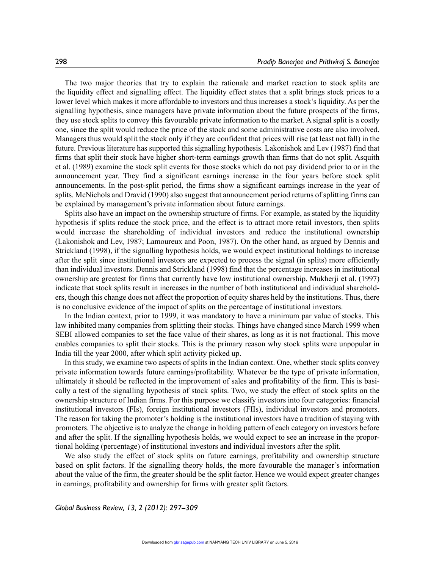The two major theories that try to explain the rationale and market reaction to stock splits are the liquidity effect and signalling effect. The liquidity effect states that a split brings stock prices to a lower level which makes it more affordable to investors and thus increases a stock's liquidity. As per the signalling hypothesis, since managers have private information about the future prospects of the firms, they use stock splits to convey this favourable private information to the market. A signal split is a costly one, since the split would reduce the price of the stock and some administrative costs are also involved. Managers thus would split the stock only if they are confident that prices will rise (at least not fall) in the future. Previous literature has supported this signalling hypothesis. Lakonishok and Lev (1987) find that firms that split their stock have higher short-term earnings growth than firms that do not split. Asquith et al. (1989) examine the stock split events for those stocks which do not pay dividend prior to or in the announcement year. They find a significant earnings increase in the four years before stock split announcements. In the post-split period, the firms show a significant earnings increase in the year of splits. McNichols and Dravid (1990) also suggest that announcement period returns of splitting firms can be explained by management's private information about future earnings.

Splits also have an impact on the ownership structure of firms. For example, as stated by the liquidity hypothesis if splits reduce the stock price, and the effect is to attract more retail investors, then splits would increase the shareholding of individual investors and reduce the institutional ownership (Lakonishok and Lev, 1987; Lamoureux and Poon, 1987). On the other hand, as argued by Dennis and Strickland (1998), if the signalling hypothesis holds, we would expect institutional holdings to increase after the split since institutional investors are expected to process the signal (in splits) more efficiently than individual investors. Dennis and Strickland (1998) find that the percentage increases in institutional ownership are greatest for firms that currently have low institutional ownership. Mukherji et al. (1997) indicate that stock splits result in increases in the number of both institutional and individual shareholders, though this change does not affect the proportion of equity shares held by the institutions. Thus, there is no conclusive evidence of the impact of splits on the percentage of institutional investors.

In the Indian context, prior to 1999, it was mandatory to have a minimum par value of stocks. This law inhibited many companies from splitting their stocks. Things have changed since March 1999 when SEBI allowed companies to set the face value of their shares, as long as it is not fractional. This move enables companies to split their stocks. This is the primary reason why stock splits were unpopular in India till the year 2000, after which split activity picked up.

In this study, we examine two aspects of splits in the Indian context. One, whether stock splits convey private information towards future earnings/profitability. Whatever be the type of private information, ultimately it should be reflected in the improvement of sales and profitability of the firm. This is basically a test of the signalling hypothesis of stock splits. Two, we study the effect of stock splits on the ownership structure of Indian firms. For this purpose we classify investors into four categories: financial institutional investors (FIs), foreign institutional investors (FIIs), individual investors and promoters. The reason for taking the promoter's holding is the institutional investors have a tradition of staying with promoters. The objective is to analyze the change in holding pattern of each category on investors before and after the split. If the signalling hypothesis holds, we would expect to see an increase in the proportional holding (percentage) of institutional investors and individual investors after the split.

We also study the effect of stock splits on future earnings, profitability and ownership structure based on split factors. If the signalling theory holds, the more favourable the manager's information about the value of the firm, the greater should be the split factor. Hence we would expect greater changes in earnings, profitability and ownership for firms with greater split factors.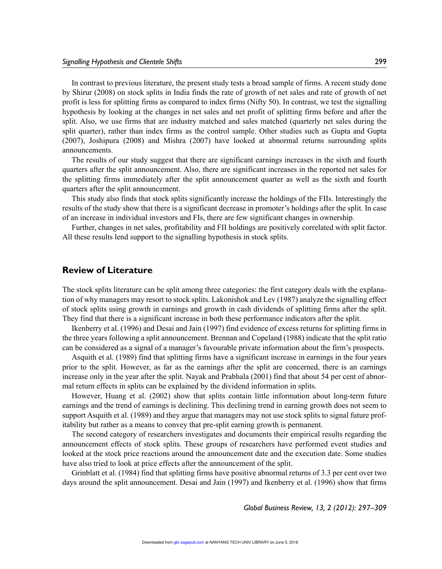In contrast to previous literature, the present study tests a broad sample of firms. A recent study done by Shirur (2008) on stock splits in India finds the rate of growth of net sales and rate of growth of net profit is less for splitting firms as compared to index firms (Nifty 50). In contrast, we test the signalling hypothesis by looking at the changes in net sales and net profit of splitting firms before and after the split. Also, we use firms that are industry matched and sales matched (quarterly net sales during the split quarter), rather than index firms as the control sample. Other studies such as Gupta and Gupta (2007), Joshipura (2008) and Mishra (2007) have looked at abnormal returns surrounding splits announcements.

The results of our study suggest that there are significant earnings increases in the sixth and fourth quarters after the split announcement. Also, there are significant increases in the reported net sales for the splitting firms immediately after the split announcement quarter as well as the sixth and fourth quarters after the split announcement.

This study also finds that stock splits significantly increase the holdings of the FIIs. Interestingly the results of the study show that there is a significant decrease in promoter's holdings after the split. In case of an increase in individual investors and FIs, there are few significant changes in ownership.

Further, changes in net sales, profitability and FII holdings are positively correlated with split factor. All these results lend support to the signalling hypothesis in stock splits.

### **Review of Literature**

The stock splits literature can be split among three categories: the first category deals with the explanation of why managers may resort to stock splits. Lakonishok and Lev (1987) analyze the signalling effect of stock splits using growth in earnings and growth in cash dividends of splitting firms after the split. They find that there is a significant increase in both these performance indicators after the split.

Ikenberry et al. (1996) and Desai and Jain (1997) find evidence of excess returns for splitting firms in the three years following a split announcement. Brennan and Copeland (1988) indicate that the split ratio can be considered as a signal of a manager's favourable private information about the firm's prospects.

Asquith et al. (1989) find that splitting firms have a significant increase in earnings in the four years prior to the split. However, as far as the earnings after the split are concerned, there is an earnings increase only in the year after the split. Nayak and Prabhala (2001) find that about 54 per cent of abnormal return effects in splits can be explained by the dividend information in splits.

However, Huang et al. (2002) show that splits contain little information about long-term future earnings and the trend of earnings is declining. This declining trend in earning growth does not seem to support Asquith et al. (1989) and they argue that managers may not use stock splits to signal future profitability but rather as a means to convey that pre-split earning growth is permanent.

The second category of researchers investigates and documents their empirical results regarding the announcement effects of stock splits. These groups of researchers have performed event studies and looked at the stock price reactions around the announcement date and the execution date. Some studies have also tried to look at price effects after the announcement of the split.

Grinblatt et al. (1984) find that splitting firms have positive abnormal returns of 3.3 per cent over two days around the split announcement. Desai and Jain (1997) and Ikenberry et al. (1996) show that firms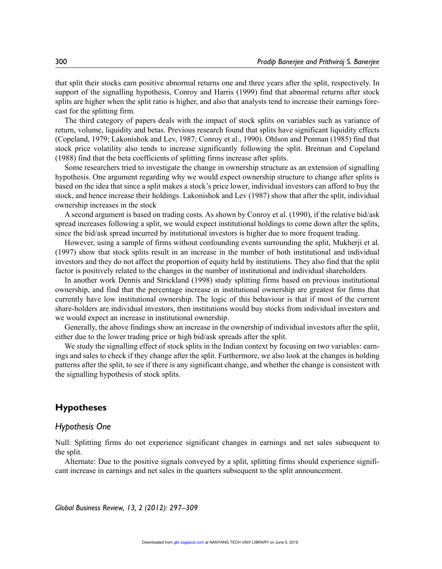that split their stocks earn positive abnormal returns one and three years after the split, respectively. In support of the signalling hypothesis, Conroy and Harris (1999) find that abnormal returns after stock splits are higher when the split ratio is higher, and also that analysts tend to increase their earnings forecast for the splitting firm.

The third category of papers deals with the impact of stock splits on variables such as variance of return, volume, liquidity and betas. Previous research found that splits have significant liquidity effects (Copeland, 1979; Lakonishok and Lev, 1987; Conroy et al., 1990). Ohlson and Penman (1985) find that stock price volatility also tends to increase significantly following the split. Brennan and Copeland (1988) find that the beta coefficients of splitting firms increase after splits.

Some researchers tried to investigate the change in ownership structure as an extension of signalling hypothesis. One argument regarding why we would expect ownership structure to change after splits is based on the idea that since a split makes a stock's price lower, individual investors can afford to buy the stock, and hence increase their holdings. Lakonishok and Lev (1987) show that after the split, individual ownership increases in the stock

A second argument is based on trading costs. As shown by Conroy et al. (1990), if the relative bid/ask spread increases following a split, we would expect institutional holdings to come down after the splits, since the bid/ask spread incurred by institutional investors is higher due to more frequent trading.

However, using a sample of firms without confounding events surrounding the split, Mukherji et al. (1997) show that stock splits result in an increase in the number of both institutional and individual investors and they do not affect the proportion of equity held by institutions. They also find that the split factor is positively related to the changes in the number of institutional and individual shareholders.

In another work Dennis and Strickland (1998) study splitting firms based on previous institutional ownership, and find that the percentage increase in institutional ownership are greatest for firms that currently have low institutional ownership. The logic of this behaviour is that if most of the current share-holders are individual investors, then institutions would buy stocks from individual investors and we would expect an increase in institutional ownership.

Generally, the above findings show an increase in the ownership of individual investors after the split, either due to the lower trading price or high bid/ask spreads after the split.

We study the signalling effect of stock splits in the Indian context by focusing on two variables: earnings and sales to check if they change after the split. Furthermore, we also look at the changes in holding patterns after the split, to see if there is any significant change, and whether the change is consistent with the signalling hypothesis of stock splits.

# **Hypotheses**

### *Hypothesis One*

Null: Splitting firms do not experience significant changes in earnings and net sales subsequent to the split.

Alternate: Due to the positive signals conveyed by a split, splitting firms should experience significant increase in earnings and net sales in the quarters subsequent to the split announcement.

```
Global Business Review, 13, 2 (2012): 297–309
```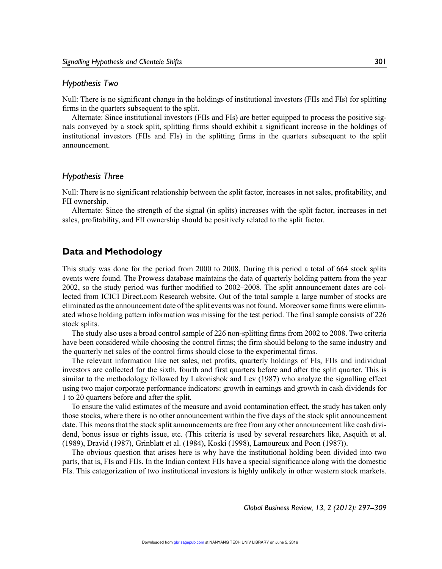### *Hypothesis Two*

Null: There is no significant change in the holdings of institutional investors (FIIs and FIs) for splitting firms in the quarters subsequent to the split.

Alternate: Since institutional investors (FIIs and FIs) are better equipped to process the positive signals conveyed by a stock split, splitting firms should exhibit a significant increase in the holdings of institutional investors (FIIs and FIs) in the splitting firms in the quarters subsequent to the split announcement.

### *Hypothesis Three*

Null: There is no significant relationship between the split factor, increases in net sales, profitability, and FII ownership.

Alternate: Since the strength of the signal (in splits) increases with the split factor, increases in net sales, profitability, and FII ownership should be positively related to the split factor.

# **Data and Methodology**

This study was done for the period from 2000 to 2008. During this period a total of 664 stock splits events were found. The Prowess database maintains the data of quarterly holding pattern from the year 2002, so the study period was further modified to 2002–2008. The split announcement dates are collected from ICICI Direct.com Research website. Out of the total sample a large number of stocks are eliminated as the announcement date of the split events was not found. Moreover some firms were eliminated whose holding pattern information was missing for the test period. The final sample consists of 226 stock splits.

The study also uses a broad control sample of 226 non-splitting firms from 2002 to 2008. Two criteria have been considered while choosing the control firms; the firm should belong to the same industry and the quarterly net sales of the control firms should close to the experimental firms.

The relevant information like net sales, net profits, quarterly holdings of FIs, FIIs and individual investors are collected for the sixth, fourth and first quarters before and after the split quarter. This is similar to the methodology followed by Lakonishok and Lev (1987) who analyze the signalling effect using two major corporate performance indicators: growth in earnings and growth in cash dividends for 1 to 20 quarters before and after the split.

To ensure the valid estimates of the measure and avoid contamination effect, the study has taken only those stocks, where there is no other announcement within the five days of the stock split announcement date. This means that the stock split announcements are free from any other announcement like cash dividend, bonus issue or rights issue, etc. (This criteria is used by several researchers like, Asquith et al. (1989), Dravid (1987), Grinblatt et al. (1984), Koski (1998), Lamoureux and Poon (1987)).

The obvious question that arises here is why have the institutional holding been divided into two parts, that is, FIs and FIIs. In the Indian context FIIs have a special significance along with the domestic FIs. This categorization of two institutional investors is highly unlikely in other western stock markets.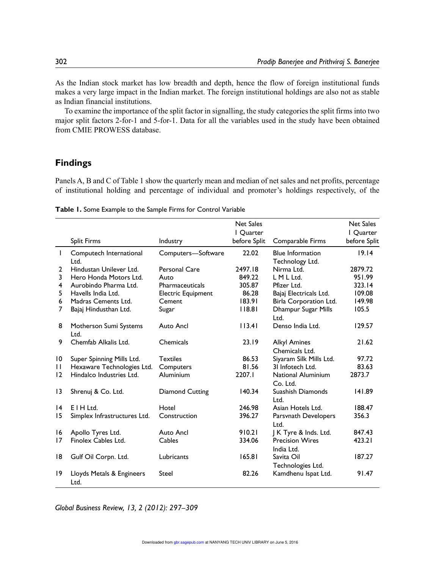As the Indian stock market has low breadth and depth, hence the flow of foreign institutional funds makes a very large impact in the Indian market. The foreign institutional holdings are also not as stable as Indian financial institutions.

To examine the importance of the split factor in signalling, the study categories the split firms into two major split factors 2-for-1 and 5-for-1. Data for all the variables used in the study have been obtained from CMIE PROWESS database.

# **Findings**

Panels A, B and C of Table 1 show the quarterly mean and median of net sales and net profits, percentage of institutional holding and percentage of individual and promoter's holdings respectively, of the

| Table I. Some Example to the Sample Firms for Control Variable |  |
|----------------------------------------------------------------|--|
|----------------------------------------------------------------|--|

|                 |                                   |                           | <b>Net Sales</b> |                                       | <b>Net Sales</b> |
|-----------------|-----------------------------------|---------------------------|------------------|---------------------------------------|------------------|
|                 |                                   |                           | I Ouarter        |                                       | I Quarter        |
|                 | <b>Split Firms</b>                | Industry                  | before Split     | Comparable Firms                      | before Split     |
| $\mathbf{I}$    | Computech International           | Computers-Software        | 22.02            | <b>Blue Information</b>               | 19.14            |
|                 | Ltd.                              |                           |                  | Technology Ltd.                       |                  |
| $\overline{2}$  | Hindustan Unilever Ltd.           | Personal Care             | 2497.18          | Nirma Ltd.                            | 2879.72          |
| 3               | Hero Honda Motors Ltd.            | Auto                      | 849.22           | L M L Ltd.                            | 951.99           |
| $\overline{4}$  | Aurobindo Pharma Ltd.             | Pharmaceuticals           | 305.87           | Pfizer Ltd.                           | 323.14           |
| 5               | Havells India Ltd.                | <b>Electric Equipment</b> | 86.28            | Bajaj Electricals Ltd.                | 109.08           |
| 6               | Madras Cements Ltd.               | Cement                    | 183.91           | Birla Corporation Ltd.                | 149.98           |
| $\overline{7}$  | Bajaj Hindusthan Ltd.             | Sugar                     | 118.81           | Dhampur Sugar Mills<br>Ltd.           | 105.5            |
| 8               | Motherson Sumi Systems<br>Ltd.    | Auto Ancl                 | 113.41           | Denso India Ltd.                      | 129.57           |
| 9               | Chemfab Alkalis Ltd.              | Chemicals                 | 23.19            | <b>Alkyl Amines</b><br>Chemicals Ltd. | 21.62            |
| 10              | Super Spinning Mills Ltd.         | <b>Textiles</b>           | 86.53            | Siyaram Silk Mills Ltd.               | 97.72            |
| $\mathbf{H}$    | Hexaware Technologies Ltd.        | Computers                 | 81.56            | 31 Infotech Ltd.                      | 83.63            |
| 12              | Hindalco Industries Ltd.          | Aluminium                 | 2207.1           | National Aluminium<br>Co. Ltd.        | 2873.7           |
| $\overline{13}$ | Shrenuj & Co. Ltd.                | Diamond Cutting           | 140.34           | Suashish Diamonds<br>Ltd.             | 141.89           |
| 14              | $E$   H Ltd.                      | Hotel                     | 246.98           | Asian Hotels Ltd.                     | 188.47           |
| 15              | Simplex Infrastructures Ltd.      | Construction              | 396.27           | Parsvnath Developers<br>Ltd.          | 356.3            |
| 16              | Apollo Tyres Ltd.                 | Auto Ancl                 | 910.21           | K Tyre & Inds. Ltd.                   | 847.43           |
| 17              | Finolex Cables Ltd.               | Cables                    | 334.06           | <b>Precision Wires</b>                | 423.21           |
|                 |                                   |                           |                  | India Ltd.                            |                  |
| 18              | Gulf Oil Corpn. Ltd.              | Lubricants                | 165.81           | Savita Oil                            | 187.27           |
|                 |                                   |                           |                  | Technologies Ltd.                     |                  |
| 19              | Lloyds Metals & Engineers<br>Ltd. | Steel                     | 82.26            | Kamdhenu Ispat Ltd.                   | 91.47            |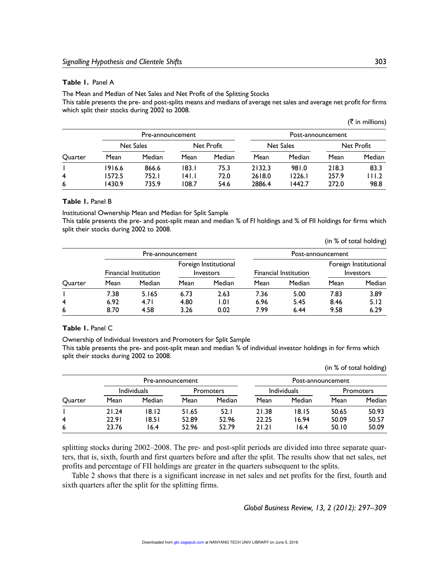#### **Table 1.** Panel A

The Mean and Median of Net Sales and Net Profit of the Splitting Stocks

This table presents the pre- and post-splits means and medians of average net sales and average net profit for firms which split their stocks during 2002 to 2008.

|                |           | Pre-announcement |            |        | Post-announcement |        |            |        |  |
|----------------|-----------|------------------|------------|--------|-------------------|--------|------------|--------|--|
|                | Net Sales |                  | Net Profit |        | <b>Net Sales</b>  |        | Net Profit |        |  |
| <b>Ouarter</b> | Mean      | Median           | Mean       | Median | Mean              | Median | Mean       | Median |  |
|                | 1916.6    | 866.6            | 183.1      | 75.3   | 2132.3            | 981.0  | 218.3      | 83.3   |  |
| 4              | 1572.5    | 752.I            | 14 I.I     | 72.0   | 2618.0            | 1226.1 | 257.9      | 11.2   |  |
| 6              | 430.9     | 735.9            | 108.7      | 54.6   | 2886.4            | 1442.7 | 272.0      | 98.8   |  |

#### **Table 1.** Panel B

Institutional Ownership Mean and Median for Split Sample

This table presents the pre- and post-split mean and median % of FI holdings and % of FII holdings for firms which split their stocks during 2002 to 2008.

(in % of total holding)

(in % of total holding)

|         |      |                              | Pre-announcement                          |        | Post-announcement            |        |                                           |        |  |
|---------|------|------------------------------|-------------------------------------------|--------|------------------------------|--------|-------------------------------------------|--------|--|
|         |      | <b>Financial Institution</b> | Foreign Institutional<br><b>Investors</b> |        | <b>Financial Institution</b> |        | Foreign Institutional<br><b>Investors</b> |        |  |
| Quarter | Mean | Median                       | Mean                                      | Median | Mean                         | Median | Mean                                      | Median |  |
|         | 7.38 | 5.165                        | 6.73                                      | 2.63   | 7.36                         | 5.00   | 7.83                                      | 3.89   |  |
| 4       | 6.92 | 4.71                         | 4.80                                      | ا ۱.۵  | 6.96                         | 5.45   | 8.46                                      | 5.12   |  |
| 6       | 8.70 | 4.58                         | 3.26                                      | 0.02   | 7.99                         | 6.44   | 9.58                                      | 6.29   |  |

#### **Table 1.** Panel C

Ownership of Individual Investors and Promoters for Split Sample

This table presents the pre- and post-split mean and median % of individual investor holdings in for firms which split their stocks during 2002 to 2008.

|         |                    | Pre-announcement |                  |        |                    |        |           |        |
|---------|--------------------|------------------|------------------|--------|--------------------|--------|-----------|--------|
| Ouarter | <b>Individuals</b> |                  | <b>Promoters</b> |        | <b>Individuals</b> |        | Promoters |        |
|         | Mean               | Median           | Mean             | Median | Mean               | Median | Mean      | Median |
|         | 21.24              | 18.12            | 51.65            | 52. I  | 21.38              | 18.15  | 50.65     | 50.93  |
| 4       | 22.91              | 18.51            | 52.89            | 52.96  | 22.25              | 16.94  | 50.09     | 50.57  |
| 6       | 23.76              | 16.4             | 52.96            | 52.79  | 21.21              | 16.4   | 50.10     | 50.09  |
|         |                    |                  |                  |        |                    |        |           |        |

splitting stocks during 2002–2008. The pre- and post-split periods are divided into three separate quarters, that is, sixth, fourth and first quarters before and after the split. The results show that net sales, net profits and percentage of FII holdings are greater in the quarters subsequent to the splits.

Table 2 shows that there is a significant increase in net sales and net profits for the first, fourth and sixth quarters after the split for the splitting firms.

#### *Global Business Review, 13, 2 (2012): 297–309*

 $($ ₹ in millions)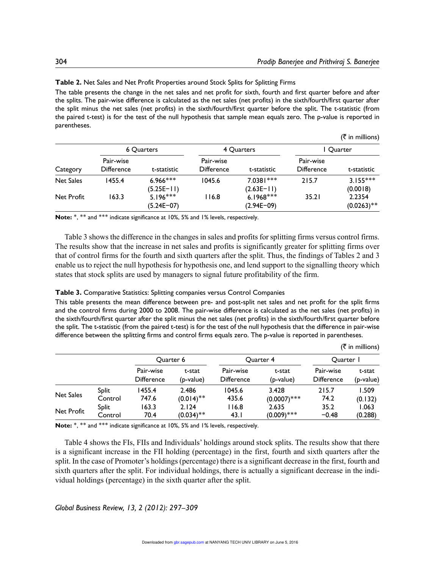**Table 2.** Net Sales and Net Profit Properties around Stock Splits for Splitting Firms

The table presents the change in the net sales and net profit for sixth, fourth and first quarter before and after the splits. The pair-wise difference is calculated as the net sales (net profits) in the sixth/fourth/first quarter after the split minus the net sales (net profits) in the sixth/fourth/first quarter before the split. The t-statistic (from the paired t-test) is for the test of the null hypothesis that sample mean equals zero. The p-value is reported in parentheses.

|                  |                         | 6 Quarters                               |                                | 4 Quarters                                  |                                | I Quarter                           |  |  |
|------------------|-------------------------|------------------------------------------|--------------------------------|---------------------------------------------|--------------------------------|-------------------------------------|--|--|
| Category         | Pair-wise<br>Difference | t-statistic                              | Pair-wise<br><b>Difference</b> | t-statistic                                 | Pair-wise<br><b>Difference</b> | t-statistic                         |  |  |
| <b>Net Sales</b> | 1455.4                  | $6.966***$                               | 1045.6                         | 7.0381***                                   | 215.7                          | $3.155***$                          |  |  |
| Net Profit       | 163.3                   | $(5.25E-11)$<br>$5.196***$<br>(5.24E-07) | 116.8                          | $(2.63E-11)$<br>$6.1968***$<br>$(2.94E-09)$ | 35.21                          | (0.0018)<br>2.2354<br>$(0.0263)$ ** |  |  |

**Note:** ∗, ∗∗ and ∗∗∗ indicate significance at 10%, 5% and 1% levels, respectively.

Table 3 shows the difference in the changes in sales and profits for splitting firms versus control firms. The results show that the increase in net sales and profits is significantly greater for splitting firms over that of control firms for the fourth and sixth quarters after the split. Thus, the findings of Tables 2 and 3 enable us to reject the null hypothesis for hypothesis one, and lend support to the signalling theory which states that stock splits are used by managers to signal future profitability of the firm.

#### **Table 3.** Comparative Statistics: Splitting companies versus Control Companies

This table presents the mean difference between pre- and post-split net sales and net profit for the split firms and the control firms during 2000 to 2008. The pair-wise difference is calculated as the net sales (net profits) in the sixth/fourth/first quarter after the split minus the net sales (net profits) in the sixth/fourth/first quarter before the split. The t-statistic (from the paired t-test) is for the test of the null hypothesis that the difference in pair-wise difference between the splitting firms and control firms equals zero. The p-value is reported in parentheses.

|                  |              | <b>Ouarter 6</b>               |                     |                                | Quarter 4           | Quarter 1                      |                     |  |
|------------------|--------------|--------------------------------|---------------------|--------------------------------|---------------------|--------------------------------|---------------------|--|
|                  |              | Pair-wise<br><b>Difference</b> | t-stat<br>(p-value) | Pair-wise<br><b>Difference</b> | t-stat<br>(p-value) | Pair-wise<br><b>Difference</b> | t-stat<br>(p-value) |  |
| <b>Net Sales</b> | <b>Split</b> | 1455.4                         | 2.486               | 1045.6                         | 3.428               | 215.7                          | 1.509               |  |
|                  | Control      | 747.6                          | $(0.014)$ **        | 435.6                          | $(0.0007)$ ***      | 74.2                           | (0.132)             |  |
| Net Profit       | Split        | 163.3                          | 2.124               | 116.8                          | 2.635               | 35.2                           | 1.063               |  |
|                  | Control      | 70.4                           | $(0.034)$ **        | 43.1                           | $(0.009)$ ***       | $-0.48$                        | (0.288)             |  |

 $(\bar{\tau}$  in millions)

 $($ ₹ in millions)

**Note:** ∗, ∗∗ and ∗∗∗ indicate significance at 10%, 5% and 1% levels, respectively.

Table 4 shows the FIs, FIIs and Individuals' holdings around stock splits. The results show that there is a significant increase in the FII holding (percentage) in the first, fourth and sixth quarters after the split. In the case of Promoter's holdings (percentage) there is a significant decrease in the first, fourth and sixth quarters after the split. For individual holdings, there is actually a significant decrease in the individual holdings (percentage) in the sixth quarter after the split.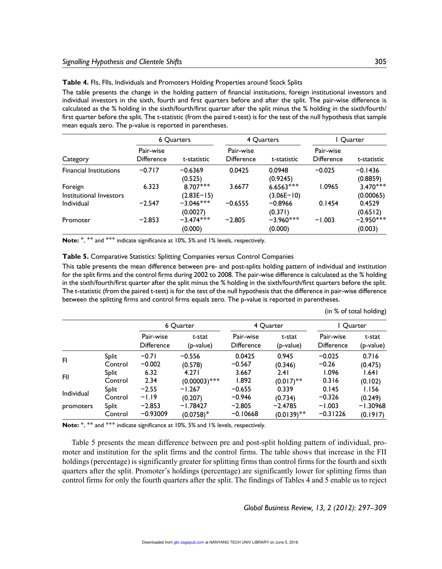**Table 4.** FIs, FIIs, Individuals and Promoters Holding Properties around Stock Splits

The table presents the change in the holding pattern of financial institutions, foreign institutional investors and individual investors in the sixth, fourth and first quarters before and after the split. The pair-wise difference is calculated as the % holding in the sixth/fourth/first quarter after the split minus the % holding in the sixth/fourth/ first quarter before the split. The t-statistic (from the paired t-test) is for the test of the null hypothesis that sample mean equals zero. The p-value is reported in parentheses.

|                                    |                                | <b>6 Quarters</b>          |                                | 4 Quarters                  |                                | I Quarter               |
|------------------------------------|--------------------------------|----------------------------|--------------------------------|-----------------------------|--------------------------------|-------------------------|
| Category                           | Pair-wise<br><b>Difference</b> | t-statistic                | Pair-wise<br><b>Difference</b> | t-statistic                 | Pair-wise<br><b>Difference</b> | t-statistic             |
| <b>Financial Institutions</b>      | $-0.717$                       | $-0.6369$<br>(0.525)       | 0.0425                         | 0.0948<br>(0.9245)          | $-0.025$                       | $-0.1436$<br>(0.8859)   |
| Foreign<br>Institutional Investors | 6.323                          | $8.707***$<br>$(2.83E-15)$ | 3.6677                         | $6.6563***$<br>$(3.06E-10)$ | 1.0965                         | $3.470***$<br>(0.00065) |
| Individual                         | $-2.547$                       | $-3.046***$<br>(0.0027)    | $-0.6555$                      | $-0.8966$<br>(0.371)        | 0.1454                         | 0.4529<br>(0.6512)      |
| Promoter                           | $-2.853$                       | $-3.474***$<br>(0.000)     | $-2.805$                       | $-3.960***$<br>(0.000)      | $-1.003$                       | $-2.950***$<br>(0.003)  |

**Note:**  $*$ ,  $**$  and  $***$  indicate significance at 10%, 5% and 1% levels, respectively.

#### **Table 5.** Comparative Statistics: Splitting Companies versus Control Companies

This table presents the mean difference between pre- and post-splits holding pattern of individual and institution for the split firms and the control firms during 2002 to 2008. The pair-wise difference is calculated as the % holding in the sixth/fourth/first quarter after the split minus the % holding in the sixth/fourth/first quarters before the split. The t-statistic (from the paired t-test) is for the test of the null hypothesis that the difference in pair-wise difference between the splitting firms and control firms equals zero. The p-value is reported in parentheses.

|  |  |  |  | (in % of total holding) |  |  |  |
|--|--|--|--|-------------------------|--|--|--|
|--|--|--|--|-------------------------|--|--|--|

|            |              |                                | 6 Quarter           |                                | 4 Quarter               |                                | l Ouarter           |  |
|------------|--------------|--------------------------------|---------------------|--------------------------------|-------------------------|--------------------------------|---------------------|--|
|            |              | Pair-wise<br><b>Difference</b> | t-stat<br>(p-value) | Pair-wise<br><b>Difference</b> | t-stat<br>(p-value)     | Pair-wise<br><b>Difference</b> | t-stat<br>(p-value) |  |
| FI.        | Split        | $-0.71$                        | $-0.556$            | 0.0425                         | 0.945                   | $-0.025$                       | 0.716               |  |
|            | Control      | $-0.002$                       | (0.578)             | $-0.567$                       | (0.346)                 | $-0.26$                        | (0.475)             |  |
|            | Split        | 6.32                           | 4.271               | 3.667                          | 2.41                    | 1.096                          | 1.641               |  |
| <b>FII</b> | Control      | 2.34                           | $(0.00003)$ ***     | 1.892                          | $(0.017)$ <sup>**</sup> | 0.316                          | (0.102)             |  |
|            | <b>Split</b> | $-2.55$                        | $-1.267$            | $-0.655$                       | 0.339                   | 0.145                          | 1.156               |  |
| Individual | Control      | $-1.19$                        | (0.207)             | $-0.946$                       | (0.734)                 | $-0.326$                       | (0.249)             |  |
| promoters  | Split        | $-2.853$                       | $-1.78427$          | $-2.805$                       | $-2.4785$               | $-1.003$                       | $-1.30968$          |  |
|            | Control      | $-0.93009$                     | $(0.0758)^*$        | $-0.10668$                     | $(0.0139)$ **           | $-0.31226$                     | (0.1917)            |  |

**Note:** ∗, ∗∗ and ∗∗∗ indicate significance at 10%, 5% and 1% levels, respectively.

Table 5 presents the mean difference between pre and post-split holding pattern of individual, promoter and institution for the split firms and the control firms. The table shows that increase in the FII holdings (percentage) is significantly greater for splitting firms than control firms for the fourth and sixth quarters after the split. Promoter's holdings (percentage) are significantly lower for splitting firms than control firms for only the fourth quarters after the split. The findings of Tables 4 and 5 enable us to reject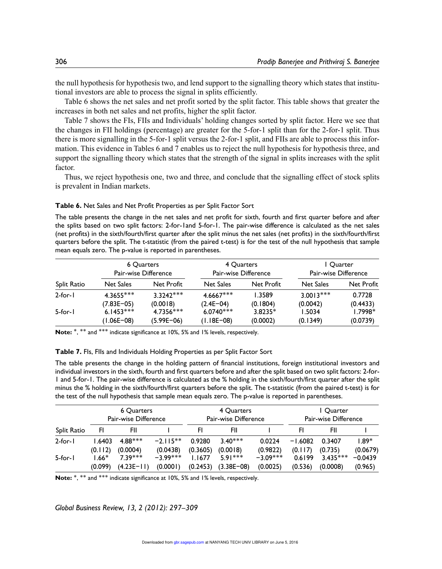the null hypothesis for hypothesis two, and lend support to the signalling theory which states that institutional investors are able to process the signal in splits efficiently.

Table 6 shows the net sales and net profit sorted by the split factor. This table shows that greater the increases in both net sales and net profits, higher the split factor.

Table 7 shows the FIs, FIIs and Individuals' holding changes sorted by split factor. Here we see that the changes in FII holdings (percentage) are greater for the 5-for-1 split than for the 2-for-1 split. Thus there is more signalling in the 5-for-1 split versus the 2-for-1 split, and FIIs are able to process this information. This evidence in Tables 6 and 7 enables us to reject the null hypothesis for hypothesis three, and support the signalling theory which states that the strength of the signal in splits increases with the split factor.

Thus, we reject hypothesis one, two and three, and conclude that the signalling effect of stock splits is prevalent in Indian markets.

#### **Table 6.** Net Sales and Net Profit Properties as per Split Factor Sort

The table presents the change in the net sales and net profit for sixth, fourth and first quarter before and after the splits based on two split factors: 2-for-1and 5-for-1. The pair-wise difference is calculated as the net sales (net profits) in the sixth/fourth/first quarter after the split minus the net sales (net profits) in the sixth/fourth/first quarters before the split. The t-statistic (from the paired t-test) is for the test of the null hypothesis that sample mean equals zero. The p-value is reported in parentheses.

|                        |             | 6 Quarters<br>Pair-wise Difference | 4 Quarters       | Pair-wise Difference | 1 Ouarter<br>Pair-wise Difference |            |
|------------------------|-------------|------------------------------------|------------------|----------------------|-----------------------------------|------------|
| Split Ratio            | Net Sales   | Net Profit                         | <b>Net Sales</b> | Net Profit           | <b>Net Sales</b>                  | Net Profit |
| $2$ -for- $\mathsf{l}$ | $4.3655***$ | $3.3242***$                        | $4.6667***$      | 1.3589               | $3.0013***$                       | 0.7728     |
|                        | (7.83E-05)  | (0.0018)                           | $(2.4E-04)$      | (0.1804)             | (0.0042)                          | (0.4433)   |
| 5-for-1                | $6.1453***$ | $4.7356***$                        | $6.0740***$      | 3.8235*              | 1.5034                            | 1.7998*    |
|                        | (1.06E-08)  | $(5.99E-06)$                       | $(1.18E-08)$     | (0.0002)             | (0.1349)                          | (0.0739)   |

**Note:** ∗, ∗∗ and ∗∗∗ indicate significance at 10%, 5% and 1% levels, respectively.

#### **Table 7.** FIs, FIIs and Individuals Holding Properties as per Split Factor Sort

The table presents the change in the holding pattern of financial institutions, foreign institutional investors and individual investors in the sixth, fourth and first quarters before and after the split based on two split factors: 2-for-1 and 5-for-1. The pair-wise difference is calculated as the % holding in the sixth/fourth/first quarter after the split minus the % holding in the sixth/fourth/first quarters before the split. The t-statistic (from the paired t-test) is for the test of the null hypothesis that sample mean equals zero. The p-value is reported in parentheses.

|                        | 6 Quarters           |              |            | 4 Quarters           |              |            | l Ouarter            |            |           |
|------------------------|----------------------|--------------|------------|----------------------|--------------|------------|----------------------|------------|-----------|
|                        | Pair-wise Difference |              |            | Pair-wise Difference |              |            | Pair-wise Difference |            |           |
| <b>Split Ratio</b>     | FI                   | FII          |            | FI                   | FII          |            | FI                   | FII        |           |
| $2$ -for- $\mathsf{l}$ | 1.6403               | $4.88***$    | $-2.115**$ | 0.9280               | $3.40***$    | 0.0224     | $-1.6082$            | 0.3407     | $1.89*$   |
|                        | (0.112)              | (0.0004)     | (0.0438)   | (0.3605)             | (0.0018)     | (0.9822)   | (0.117)              | (0.735)    | (0.0679)  |
| $5$ -for- $\mathsf{l}$ | *1.66                | $7.39***$    | $-3.99***$ | I.I677               | $5.91***$    | $-3.09***$ | 0.6199               | $3.435***$ | $-0.0439$ |
|                        | (0.099)              | $(4.23E-11)$ | (0.0001)   | (0.2453)             | $(3.38E-08)$ | (0.0025)   | (0.536)              | (0.0008)   | (0.965)   |

**Note:** ∗, ∗∗ and ∗∗∗ indicate significance at 10%, 5% and 1% levels, respectively.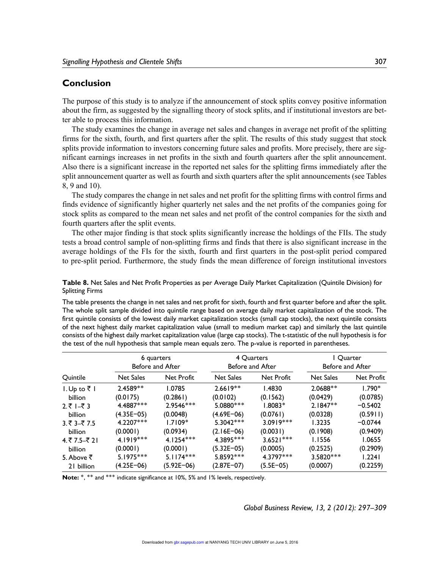# **Conclusion**

The purpose of this study is to analyze if the announcement of stock splits convey positive information about the firm, as suggested by the signalling theory of stock splits, and if institutional investors are better able to process this information.

The study examines the change in average net sales and changes in average net profit of the splitting firms for the sixth, fourth, and first quarters after the split. The results of this study suggest that stock splits provide information to investors concerning future sales and profits. More precisely, there are significant earnings increases in net profits in the sixth and fourth quarters after the split announcement. Also there is a significant increase in the reported net sales for the splitting firms immediately after the split announcement quarter as well as fourth and sixth quarters after the split announcements (see Tables 8, 9 and 10).

The study compares the change in net sales and net profit for the splitting firms with control firms and finds evidence of significantly higher quarterly net sales and the net profits of the companies going for stock splits as compared to the mean net sales and net profit of the control companies for the sixth and fourth quarters after the split events.

The other major finding is that stock splits significantly increase the holdings of the FIIs. The study tests a broad control sample of non-splitting firms and finds that there is also significant increase in the average holdings of the FIs for the sixth, fourth and first quarters in the post-split period compared to pre-split period. Furthermore, the study finds the mean difference of foreign institutional investors

**Table 8.** Net Sales and Net Profit Properties as per Average Daily Market Capitalization (Quintile Division) for Splitting Firms

The table presents the change in net sales and net profit for sixth, fourth and first quarter before and after the split. The whole split sample divided into quintile range based on average daily market capitalization of the stock. The first quintile consists of the lowest daily market capitalization stocks (small cap stocks), the next quintile consists of the next highest daily market capitalization value (small to medium market cap) and similarly the last quintile consists of the highest daily market capitalization value (large cap stocks). The t-statistic of the null hypothesis is for the test of the null hypothesis that sample mean equals zero. The p-value is reported in parentheses.

| Quintile     | 6 quarters<br>Before and After |             | 4 Quarters<br>Before and After |             | I Quarter<br>Before and After |                   |
|--------------|--------------------------------|-------------|--------------------------------|-------------|-------------------------------|-------------------|
|              | <b>Net Sales</b>               | Net Profit  | <b>Net Sales</b>               | Net Profit  | <b>Net Sales</b>              | <b>Net Profit</b> |
| I. Up to ₹ I | $2.4589**$                     | 1.0785      | $2.6619**$                     | 1.4830      | 2.0688**                      | $1.790*$          |
| billion      | (0.0175)                       | (0.2861)    | (0.0102)                       | (0.1562)    | (0.0429)                      | (0.0785)          |
| 2. ₹ ।–₹ 3   | 4.4887***                      | $2.9546***$ | 5.0880***                      | $1.8083*$   | $2.1847**$                    | $-0.5402$         |
| billion      | (4.35E-05)                     | (0.0048)    | $(4.69E-06)$                   | (0.0761)    | (0.0328)                      | (0.5911)          |
| 3. ₹3–₹7.5   | $4.2207***$                    | $1.7109*$   | 5.3042***                      | $3.0919***$ | 1.3235                        | $-0.0744$         |
| billion      | (0.0001)                       | (0.0934)    | $(2.16E-06)$                   | (0.0031)    | (0.1908)                      | (0.9409)          |
| 4.₹ 7.5–₹ 21 | $4.1919***$                    | 4.1254***   | 4.3895***                      | $3.6521***$ | 1.1556                        | 1.0655            |
| billion      | (0.0001)                       | (0.0001)    | $(5.32E-05)$                   | (0.0005)    | (0.2525)                      | (0.2909)          |
| 5. Above ₹   | $5.1975***$                    | $5.1174***$ | 5.8592 ***                     | 4.3797***   | 3.5820***                     | 1.2241            |
| 21 billion   | (4.25E-06)                     | (5.92E-06)  | $(2.87E-07)$                   | $(5.5E-05)$ | (0.0007)                      | (0.2259)          |

**Note:** ∗, ∗∗ and ∗∗∗ indicate significance at 10%, 5% and 1% levels, respectively.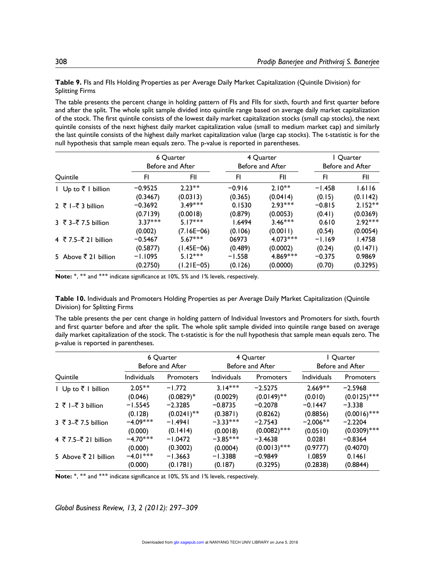#### **Table 9.** FIs and FIIs Holding Properties as per Average Daily Market Capitalization (Quintile Division) for Splitting Firms

The table presents the percent change in holding pattern of FIs and FIIs for sixth, fourth and first quarter before and after the split. The whole split sample divided into quintile range based on average daily market capitalization of the stock. The first quintile consists of the lowest daily market capitalization stocks (small cap stocks), the next quintile consists of the next highest daily market capitalization value (small to medium market cap) and similarly the last quintile consists of the highest daily market capitalization value (large cap stocks). The t-statistic is for the null hypothesis that sample mean equals zero. The p-value is reported in parentheses.

|                      | 6 Quarter<br>Before and After |            | 4 Quarter<br>Before and After |            | I Quarter<br>Before and After |           |
|----------------------|-------------------------------|------------|-------------------------------|------------|-------------------------------|-----------|
| <b>Ouintile</b>      | FI                            | FII.       | FI                            | <b>FII</b> | FI                            | FII.      |
| Ⅰ Up to ₹ I billion  | $-0.9525$                     | $2.23**$   | $-0.916$                      | $2.10**$   | $-1.458$                      | 1.6116    |
|                      | (0.3467)                      | (0.0313)   | (0.365)                       | (0.0414)   | (0.15)                        | (0.1142)  |
| 2 ₹ I-₹ 3 billion    | $-0.3692$                     | $3.49***$  | 0.1530                        | $2.93***$  | $-0.815$                      | $2.152**$ |
|                      | (0.7139)                      | (0.0018)   | (0.879)                       | (0.0053)   | (0.41)                        | (0.0369)  |
| 3 ₹ 3-₹ 7.5 billion  | $3.37***$                     | $5.17***$  | 1.6494                        | $3.46***$  | 0.610                         | $2.92***$ |
|                      | (0.002)                       | (7.16E-06) | (0.106)                       | (0.0011)   | (0.54)                        | (0.0054)  |
| 4 ₹ 7.5–₹ 21 billion | $-0.5467$                     | $5.67***$  | 06973                         | $4.073***$ | $-1.169$                      | 1.4758    |
|                      | (0.5877)                      | (1.45E-06) | (0.489)                       | (0.0002)   | (0.24)                        | (0.1471)  |
| 5 Above ₹ 21 billion | $-1.1095$                     | $5.12***$  | $-1.558$                      | 4.869***   | $-0.375$                      | 0.9869    |
|                      | (0.2750)                      | (1.21E-05) | (0.126)                       | (0.0000)   | (0.70)                        | (0.3295)  |

**Note:** ∗, ∗∗ and ∗∗∗ indicate significance at 10%, 5% and 1% levels, respectively.

**Table 10.** Individuals and Promoters Holding Properties as per Average Daily Market Capitalization (Quintile Division) for Splitting Firms

The table presents the per cent change in holding pattern of Individual Investors and Promoters for sixth, fourth and first quarter before and after the split. The whole split sample divided into quintile range based on average daily market capitalization of the stock. The t-statistic is for the null hypothesis that sample mean equals zero. The p-value is reported in parentheses.

|                      | 6 Quarter<br>Before and After |                  | 4 Quarter<br>Before and After |                  | 1 Quarter<br>Before and After |                  |
|----------------------|-------------------------------|------------------|-------------------------------|------------------|-------------------------------|------------------|
| <b>Ouintile</b>      | <b>Individuals</b>            | <b>Promoters</b> | <b>Individuals</b>            | <b>Promoters</b> | <b>Individuals</b>            | <b>Promoters</b> |
| I Up to ₹ I billion  | $2.05**$                      | $-1.772$         | $3.14***$                     | $-2.5275$        | $2.669**$                     | $-2.5968$        |
|                      | (0.046)                       | $(0.0829)^*$     | (0.0029)                      | $(0.0149)$ **    | (0.010)                       | $(0.0125)$ ***   |
| 2 ₹ I-₹ 3 billion    | $-1.5545$                     | $-2.3285$        | $-0.8735$                     | $-0.2078$        | $-0.1447$                     | $-3.338$         |
|                      | (0.128)                       | $(0.0241)$ **    | (0.3871)                      | (0.8262)         | (0.8856)                      | $(0.0016)$ ***   |
| 3 ₹ 3–₹ 7.5 billion  | $-4.09***$                    | $-1.4941$        | $-3.33***$                    | $-2.7543$        | $-2.006**$                    | $-2.2204$        |
|                      | (0.000)                       | (0.1414)         | (0.0018)                      | $(0.0082)$ ***   | (0.0510)                      | $(0.0309)$ ***   |
| 4 ₹ 7.5–₹ 21 billion | $-4.70***$                    | $-1.0472$        | $-3.85***$                    | $-3.4638$        | 0.0281                        | $-0.8364$        |
|                      | (0.000)                       | (0.3002)         | (0.0004)                      | $(0.0013)$ ***   | (0.9777)                      | (0.4070)         |
| 5 Above ₹ 21 billion | $-4.01***$                    | $-1.3663$        | $-1.3388$                     | $-0.9849$        | 1.0859                        | 0.1461           |
|                      | (0.000)                       | (0.1781)         | (0.187)                       | (0.3295)         | (0.2838)                      | (0.8844)         |

**Note:** ∗, ∗∗ and ∗∗∗ indicate significance at 10%, 5% and 1% levels, respectively.